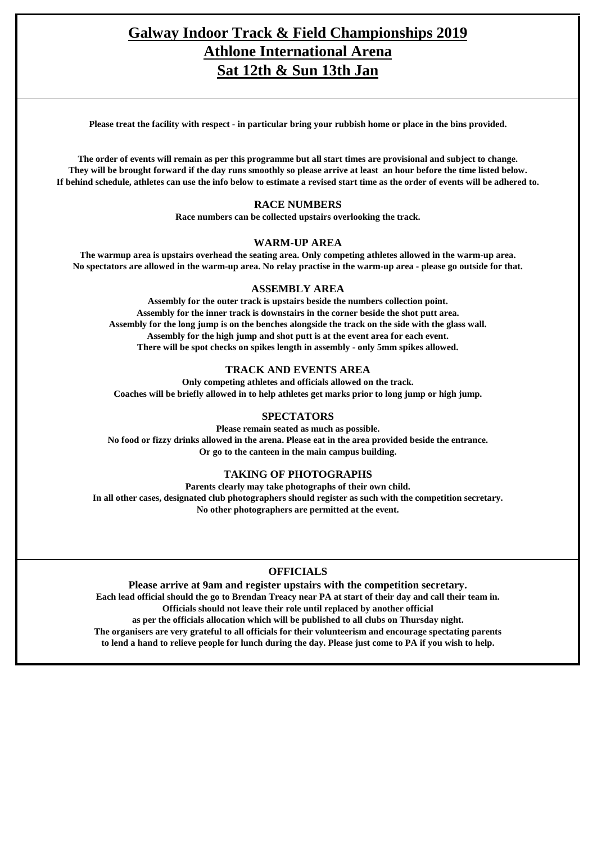## **Galway Indoor Track & Field Championships 2019 Athlone International Arena Sat 12th & Sun 13th Jan**

Please treat the facility with respect - in particular bring your rubbish home or place in the bins provided.

The order of events will remain as per this programme but all start times are provisional and subject to change. They will be brought forward if the day runs smoothly so please arrive at least an hour before the time listed below. If behind schedule, athletes can use the info below to estimate a revised start time as the order of events will be adhered to.

#### **RACE NUMBERS**

**Race numbers can be collected upstairs overlooking the track.**

#### **WARM-UP AREA**

The warmup area is upstairs overhead the seating area. Only competing athletes allowed in the warm-up area. No spectators are allowed in the warm-up area. No relay practise in the warm-up area - please go outside for that.

#### **ASSEMBLY AREA**

**Assembly for the outer track is upstairs beside the numbers collection point. Assembly for the inner track is downstairs in the corner beside the shot putt area.** Assembly for the long jump is on the benches alongside the track on the side with the glass wall. **Assembly for the high jump and shot putt is at the event area for each event. There will be spot checks on spikes length in assembly - only 5mm spikes allowed.**

#### **TRACK AND EVENTS AREA**

**Only competing athletes and officials allowed on the track. Coaches will be briefly allowed in to help athletes get marks prior to long jump or high jump.**

#### **SPECTATORS**

**Please remain seated as much as possible. No food or fizzy drinks allowed in the arena. Please eat in the area provided beside the entrance. Or go to the canteen in the main campus building.**

#### **TAKING OF PHOTOGRAPHS**

**Parents clearly may take photographs of their own child. In all other cases, designated club photographers should register as such with the competition secretary. No other photographers are permitted at the event.**

#### **OFFICIALS**

**Please arrive at 9am and register upstairs with the competition secretary.** Each lead official should the go to Brendan Treacy near PA at start of their day and call their team in. **Officials should notleave their role until replaced by another official as per the officials allocation which will be published to all clubs on Thursday night. The organisers are very grateful to all officials for their volunteerism and encourage spectating parents** to lend a hand to relieve people for lunch during the day. Please just come to PA if you wish to help.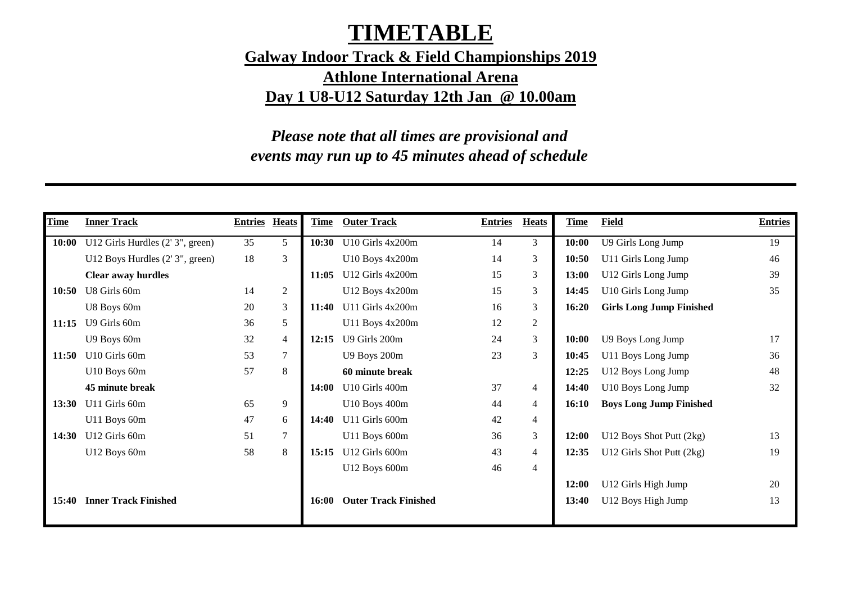# **TIMETABLE**

**Galway Indoor Track & Field Championships 2019 Athlone International Arena Day 1 U8-U12 Saturday 12th Jan @ 10.00am**

*Please note that all times are provisional and events may run up to 45 minutes ahead of schedule*

| Time  | <b>Inner Track</b>              | <b>Entries</b> | <b>Heats</b>   | Time  | <b>Outer Track</b>          | <b>Entries</b> | <b>Heats</b>   | <u>Time</u>  | Field                           | <b>Entries</b> |
|-------|---------------------------------|----------------|----------------|-------|-----------------------------|----------------|----------------|--------------|---------------------------------|----------------|
| 10:00 | U12 Girls Hurdles (2'3", green) | 35             | 5              | 10:30 | U10 Girls $4x200m$          | 14             | 3              | 10:00        | U9 Girls Long Jump              | 19             |
|       | U12 Boys Hurdles (2'3", green)  | 18             | 3              |       | U10 Boys 4x200m             | 14             | 3              | 10:50        | U11 Girls Long Jump             | 46             |
|       | <b>Clear away hurdles</b>       |                |                | 11:05 | U12 Girls 4x200m            | 15             | 3              | 13:00        | U12 Girls Long Jump             | 39             |
| 10:50 | U8 Girls 60m                    | 14             | $\mathfrak{2}$ |       | U12 Boys 4x200m             | 15             | 3              | 14:45        | U10 Girls Long Jump             | 35             |
|       | U8 Boys 60m                     | 20             | 3              | 11:40 | U11 Girls 4x200m            | 16             | 3              | 16:20        | <b>Girls Long Jump Finished</b> |                |
| 11:15 | U9 Girls 60m                    | 36             | 5              |       | U11 Boys 4x200m             | 12             | $\overline{2}$ |              |                                 |                |
|       | U9 Boys 60m                     | 32             | $\overline{4}$ | 12:15 | U9 Girls 200m               | 24             | 3              | <b>10:00</b> | U9 Boys Long Jump               | 17             |
| 11:50 | U10 Girls 60m                   | 53             | 7              |       | U9 Boys 200m                | 23             | 3              | 10:45        | U11 Boys Long Jump              | 36             |
|       | U10 Boys 60m                    | 57             | 8              |       | 60 minute break             |                |                | 12:25        | U12 Boys Long Jump              | 48             |
|       | 45 minute break                 |                |                | 14:00 | U10 Girls 400m              | 37             | 4              | 14:40        | U10 Boys Long Jump              | 32             |
| 13:30 | U11 Girls 60m                   | 65             | 9              |       | U10 Boys 400m               | 44             | $\overline{4}$ | 16:10        | <b>Boys Long Jump Finished</b>  |                |
|       | U11 Boys 60m                    | 47             | 6              | 14:40 | U11 Girls 600m              | 42             | 4              |              |                                 |                |
| 14:30 | U12 Girls 60m                   | 51             |                |       | U11 Boys 600m               | 36             | 3              | 12:00        | U12 Boys Shot Putt (2kg)        | 13             |
|       | U12 Boys 60m                    | 58             | 8              | 15:15 | U12 Girls 600m              | 43             | 4              | 12:35        | U12 Girls Shot Putt (2kg)       | 19             |
|       |                                 |                |                |       | U12 Boys 600m               | 46             | $\overline{4}$ |              |                                 |                |
|       |                                 |                |                |       |                             |                |                | 12:00        | U12 Girls High Jump             | 20             |
| 15:40 | <b>Inner Track Finished</b>     |                |                | 16:00 | <b>Outer Track Finished</b> |                |                | 13:40        | U12 Boys High Jump              | 13             |
|       |                                 |                |                |       |                             |                |                |              |                                 |                |